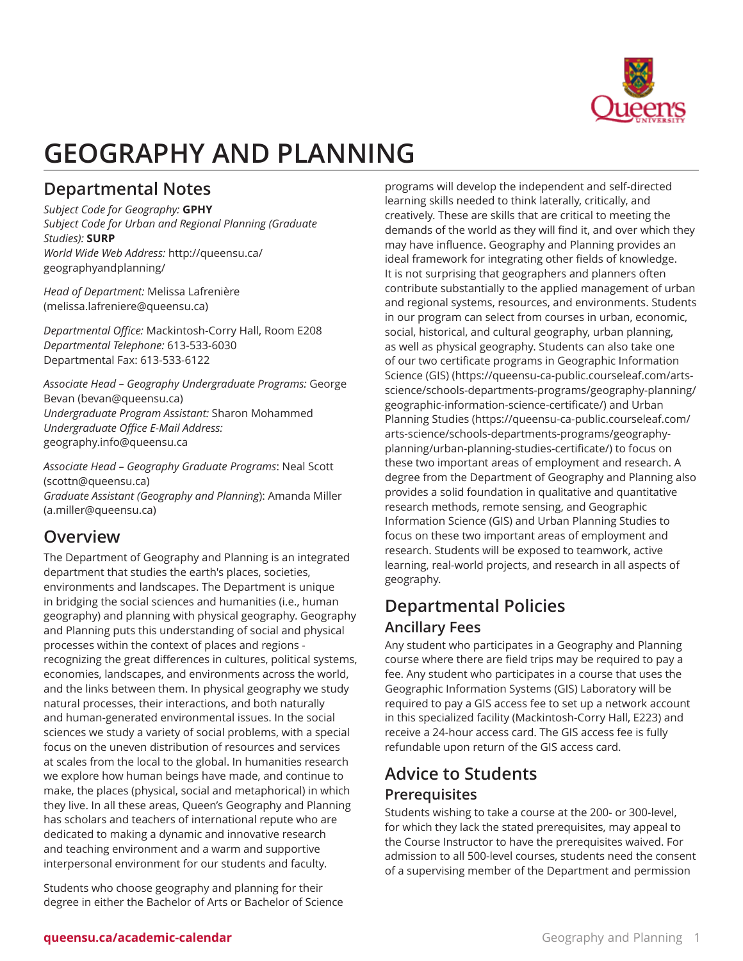

# **GEOGRAPHY AND PLANNING**

## **Departmental Notes**

*Subject Code for Geography:* **GPHY** *Subject Code for Urban and Regional Planning (Graduate Studies):* **SURP** *World Wide Web Address:* [http://queensu.ca/](http://queensu.ca/geographyandplanning/) [geographyandplanning/](http://queensu.ca/geographyandplanning/)

*Head of Department:* Melissa [Lafrenière](mailto:melissa.lafreniere@queensu.ca) (<melissa.lafreniere@queensu.ca>)

*Departmental Office:* Mackintosh-Corry Hall, Room E208 *Departmental Telephone:* 613-533-6030 Departmental Fax: 613-533-6122

*Associate Head – Geography Undergraduate Programs:* [George](mailto:bevan@queensu.ca) [Bevan](mailto:bevan@queensu.ca) (<bevan@queensu.ca>) *Undergraduate Program Assistant:* Sharon Mohammed *Undergraduate Office E-Mail Address:* [geography.info@queensu.ca](mailto:geography.info@queensu.ca)

*Associate Head – Geography Graduate Programs*: [Neal Scott](mailto:scottn@queensu.ca) ([scottn@queensu.ca\)](scottn@queensu.ca) *Graduate Assistant (Geography and Planning*): [Amanda Miller](mailto:a.miller@queensu.ca) (<a.miller@queensu.ca>)

## **Overview**

The Department of Geography and Planning is an integrated department that studies the earth's places, societies, environments and landscapes. The Department is unique in bridging the social sciences and humanities (i.e., human geography) and planning with physical geography. Geography and Planning puts this understanding of social and physical processes within the context of places and regions recognizing the great differences in cultures, political systems, economies, landscapes, and environments across the world, and the links between them. In physical geography we study natural processes, their interactions, and both naturally and human-generated environmental issues. In the social sciences we study a variety of social problems, with a special focus on the uneven distribution of resources and services at scales from the local to the global. In humanities research we explore how human beings have made, and continue to make, the places (physical, social and metaphorical) in which they live. In all these areas, Queen's Geography and Planning has scholars and teachers of international repute who are dedicated to making a dynamic and innovative research and teaching environment and a warm and supportive interpersonal environment for our students and faculty.

Students who choose geography and planning for their degree in either the Bachelor of Arts or Bachelor of Science

programs will develop the independent and self-directed learning skills needed to think laterally, critically, and creatively. These are skills that are critical to meeting the demands of the world as they will find it, and over which they may have influence. Geography and Planning provides an ideal framework for integrating other fields of knowledge. It is not surprising that geographers and planners often contribute substantially to the applied management of urban and regional systems, resources, and environments. Students in our program can select from courses in urban, economic, social, historical, and cultural geography, urban planning, as well as physical geography. Students can also take one of our two certificate programs in Geographic [Information](https://queensu-ca-public.courseleaf.com/arts-science/schools-departments-programs/geography-planning/geographic-information-science-certificate/) [Science \(GIS\)](https://queensu-ca-public.courseleaf.com/arts-science/schools-departments-programs/geography-planning/geographic-information-science-certificate/) [\(https://queensu-ca-public.courseleaf.com/arts](https://queensu-ca-public.courseleaf.com/arts-science/schools-departments-programs/geography-planning/geographic-information-science-certificate/)[science/schools-departments-programs/geography-planning/](https://queensu-ca-public.courseleaf.com/arts-science/schools-departments-programs/geography-planning/geographic-information-science-certificate/) [geographic-information-science-certificate/](https://queensu-ca-public.courseleaf.com/arts-science/schools-departments-programs/geography-planning/geographic-information-science-certificate/)) and [Urban](https://queensu-ca-public.courseleaf.com/arts-science/schools-departments-programs/geography-planning/urban-planning-studies-certificate/) [Planning Studies](https://queensu-ca-public.courseleaf.com/arts-science/schools-departments-programs/geography-planning/urban-planning-studies-certificate/) ([https://queensu-ca-public.courseleaf.com/](https://queensu-ca-public.courseleaf.com/arts-science/schools-departments-programs/geography-planning/urban-planning-studies-certificate/) [arts-science/schools-departments-programs/geography](https://queensu-ca-public.courseleaf.com/arts-science/schools-departments-programs/geography-planning/urban-planning-studies-certificate/)[planning/urban-planning-studies-certificate/](https://queensu-ca-public.courseleaf.com/arts-science/schools-departments-programs/geography-planning/urban-planning-studies-certificate/)) to focus on these two important areas of employment and research. A degree from the Department of Geography and Planning also provides a solid foundation in qualitative and quantitative research methods, remote sensing, and Geographic Information Science (GIS) and Urban Planning Studies to focus on these two important areas of employment and research. Students will be exposed to teamwork, active learning, real-world projects, and research in all aspects of geography.

## **Departmental Policies Ancillary Fees**

Any student who participates in a Geography and Planning course where there are field trips may be required to pay a fee. Any student who participates in a course that uses the Geographic Information Systems (GIS) Laboratory will be required to pay a GIS access fee to set up a network account in this specialized facility (Mackintosh-Corry Hall, E223) and receive a 24-hour access card. The GIS access fee is fully refundable upon return of the GIS access card.

# **Advice to Students**

### **Prerequisites**

Students wishing to take a course at the 200- or 300-level, for which they lack the stated prerequisites, may appeal to the Course Instructor to have the prerequisites waived. For admission to all 500-level courses, students need the consent of a supervising member of the Department and permission

#### **queensu.ca/academic-calendar Geography and Planning 1**